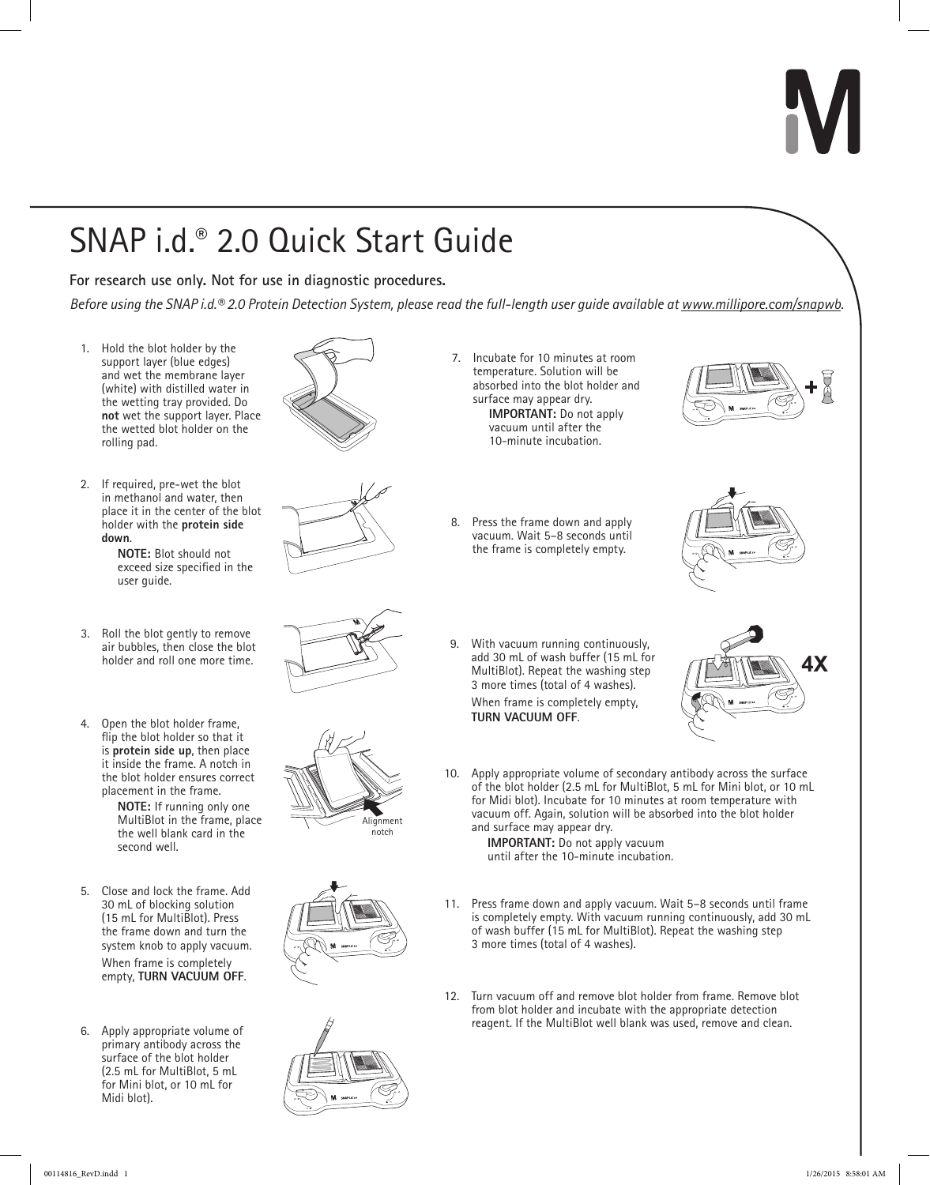# SNAP i.d.® 2.0 Quick Start Guide

**For research use only. Not for use in diagnostic procedures.**

*Before using the SNAP i.d.® 2.0 Protein Detection System, please read the full-length user guide available at [www.millipore.com/snapwb](http://www.millipore.com/snapwb).*

- 1. Hold the blot holder by the support layer (blue edges) and wet the membrane layer (white) with distilled water in the wetting tray provided. Do **not** wet the support layer. Place the wetted blot holder on the rolling pad.
- 2. If required, pre-wet the blot in methanol and water, then place it in the center of the blot holder with the **protein side down**.

**NOTE:** Blot should not exceed size specified in the user guide.

- 3. Roll the blot gently to remove air bubbles, then close the blot
- 4. Open the blot holder frame, flip the blot holder so that it is **protein side up**, then place it inside the frame. A notch in the blot holder ensures correct placement in the frame.

**NOTE:** If running only one MultiBlot in the frame, place the well blank card in the second well.

5. Close and lock the frame. Add 30 mL of blocking solution (15 mL for MultiBlot). Press the frame down and turn the system knob to apply vacuum.

When frame is completely empty, **TURN VACUUM OFF**.

6. Apply appropriate volume of primary antibody across the surface of the blot holder (2.5 mL for MultiBlot, 5 mL for Mini blot, or 10 mL for Midi blot).













- 7. Incubate for 10 minutes at room temperature. Solution will be absorbed into the blot holder and surface may appear dry. **IMPORTANT:** Do not apply vacuum until after the 10-minute incubation.
- 8. Press the frame down and apply vacuum. Wait 5–8 seconds until the frame is completely empty.





9. With vacuum running continuously, add 30 mL of wash buffer (15 mL for holder and roll one more time.<br>MultiBlot). Repeat the washing step **AX**<br>MultiBlot). Repeat the washing step **AX** 3 more times (total of 4 washes). When frame is completely empty, **TURN VACUUM OFF**.



10. Apply appropriate volume of secondary antibody across the surface of the blot holder (2.5 mL for MultiBlot, 5 mL for Mini blot, or 10 mL for Midi blot). Incubate for 10 minutes at room temperature with vacuum off. Again, solution will be absorbed into the blot holder and surface may appear dry.

**IMPORTANT:** Do not apply vacuum until after the 10-minute incubation.

- 11. Press frame down and apply vacuum. Wait 5–8 seconds until frame is completely empty. With vacuum running continuously, add 30 mL of wash buffer (15 mL for MultiBlot). Repeat the washing step 3 more times (total of 4 washes).
- 12. Turn vacuum off and remove blot holder from frame. Remove blot from blot holder and incubate with the appropriate detection reagent. If the MultiBlot well blank was used, remove and clean.